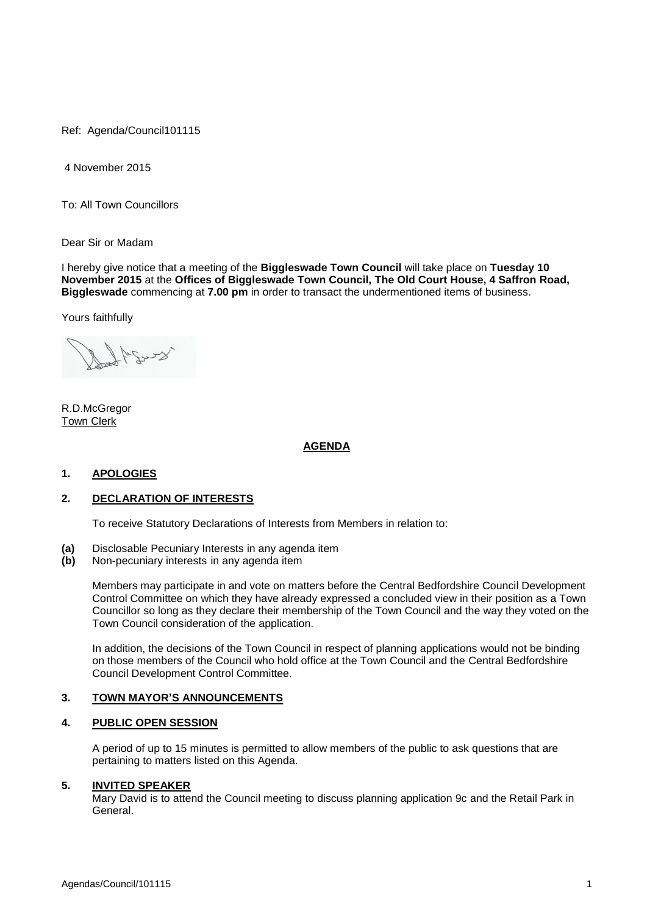Ref: Agenda/Council101115

4 November 2015

To: All Town Councillors

Dear Sir or Madam

I hereby give notice that a meeting of the **Biggleswade Town Council** will take place on **Tuesday 10 November 2015** at the **Offices of Biggleswade Town Council, The Old Court House, 4 Saffron Road, Biggleswade** commencing at **7.00 pm** in order to transact the undermentioned items of business.

Yours faithfully

R.D.McGregor Town Clerk

# **AGENDA**

#### **1. APOLOGIES**

# **2. DECLARATION OF INTERESTS**

To receive Statutory Declarations of Interests from Members in relation to:

- **(a)** Disclosable Pecuniary Interests in any agenda item
- **(b)** Non-pecuniary interests in any agenda item

Members may participate in and vote on matters before the Central Bedfordshire Council Development Control Committee on which they have already expressed a concluded view in their position as a Town Councillor so long as they declare their membership of the Town Council and the way they voted on the Town Council consideration of the application.

In addition, the decisions of the Town Council in respect of planning applications would not be binding on those members of the Council who hold office at the Town Council and the Central Bedfordshire Council Development Control Committee.

#### **3. TOWN MAYOR'S ANNOUNCEMENTS**

# **4. PUBLIC OPEN SESSION**

A period of up to 15 minutes is permitted to allow members of the public to ask questions that are pertaining to matters listed on this Agenda.

#### **5. INVITED SPEAKER**

Mary David is to attend the Council meeting to discuss planning application 9c and the Retail Park in General.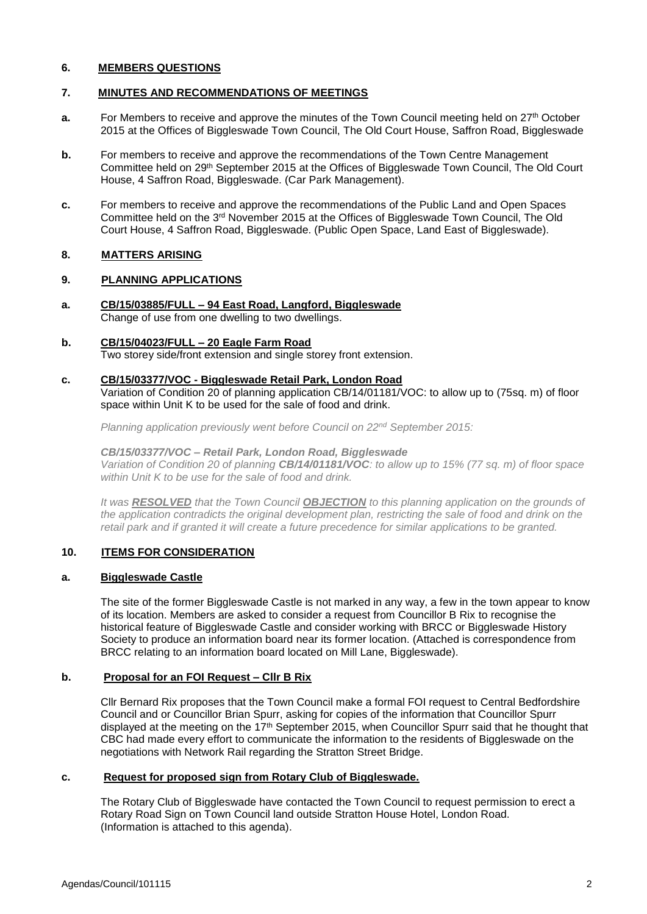# **6. MEMBERS QUESTIONS**

# **7. MINUTES AND RECOMMENDATIONS OF MEETINGS**

- **a.** For Members to receive and approve the minutes of the Town Council meeting held on 27<sup>th</sup> October 2015 at the Offices of Biggleswade Town Council, The Old Court House, Saffron Road, Biggleswade
- **b.** For members to receive and approve the recommendations of the Town Centre Management Committee held on 29th September 2015 at the Offices of Biggleswade Town Council, The Old Court House, 4 Saffron Road, Biggleswade. (Car Park Management).
- **c.** For members to receive and approve the recommendations of the Public Land and Open Spaces Committee held on the  $3<sup>rd</sup>$  November 2015 at the Offices of Biggleswade Town Council, The Old Court House, 4 Saffron Road, Biggleswade. (Public Open Space, Land East of Biggleswade).

# **8. MATTERS ARISING**

## **9. PLANNING APPLICATIONS**

- **a. CB/15/03885/FULL – 94 East Road, Langford, Biggleswade** Change of use from one dwelling to two dwellings.
- **b. CB/15/04023/FULL – 20 Eagle Farm Road** Two storey side/front extension and single storey front extension.

## **c. CB/15/03377/VOC - Biggleswade Retail Park, London Road**

Variation of Condition 20 of planning application CB/14/01181/VOC: to allow up to (75sq. m) of floor space within Unit K to be used for the sale of food and drink.

*Planning application previously went before Council on 22nd September 2015:* 

*CB/15/03377/VOC – Retail Park, London Road, Biggleswade Variation of Condition 20 of planning CB/14/01181/VOC: to allow up to 15% (77 sq. m) of floor space within Unit K to be use for the sale of food and drink.*

*It was RESOLVED that the Town Council OBJECTION to this planning application on the grounds of the application contradicts the original development plan, restricting the sale of food and drink on the retail park and if granted it will create a future precedence for similar applications to be granted.* 

# **10. ITEMS FOR CONSIDERATION**

#### **a. Biggleswade Castle**

The site of the former Biggleswade Castle is not marked in any way, a few in the town appear to know of its location. Members are asked to consider a request from Councillor B Rix to recognise the historical feature of Biggleswade Castle and consider working with BRCC or Biggleswade History Society to produce an information board near its former location. (Attached is correspondence from BRCC relating to an information board located on Mill Lane, Biggleswade).

# **b. Proposal for an FOI Request – Cllr B Rix**

Cllr Bernard Rix proposes that the Town Council make a formal FOI request to Central Bedfordshire Council and or Councillor Brian Spurr, asking for copies of the information that Councillor Spurr displayed at the meeting on the 17<sup>th</sup> September 2015, when Councillor Spurr said that he thought that CBC had made every effort to communicate the information to the residents of Biggleswade on the negotiations with Network Rail regarding the Stratton Street Bridge.

# **c. Request for proposed sign from Rotary Club of Biggleswade.**

 The Rotary Club of Biggleswade have contacted the Town Council to request permission to erect a Rotary Road Sign on Town Council land outside Stratton House Hotel, London Road. (Information is attached to this agenda).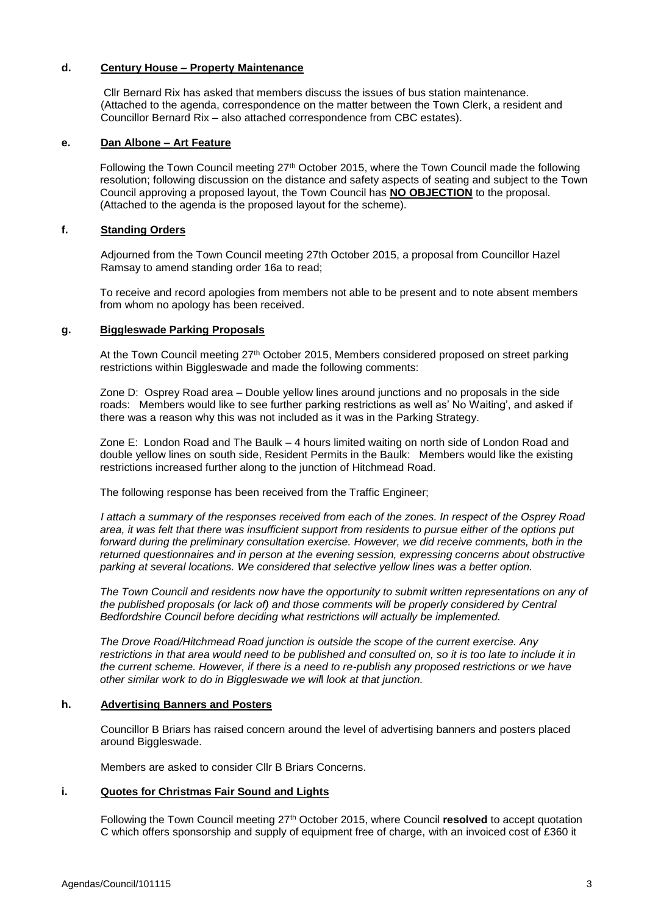# **d. Century House – Property Maintenance**

 Cllr Bernard Rix has asked that members discuss the issues of bus station maintenance. (Attached to the agenda, correspondence on the matter between the Town Clerk, a resident and Councillor Bernard Rix – also attached correspondence from CBC estates).

### **e. Dan Albone – Art Feature**

Following the Town Council meeting 27th October 2015, where the Town Council made the following resolution; following discussion on the distance and safety aspects of seating and subject to the Town Council approving a proposed layout, the Town Council has **NO OBJECTION** to the proposal. (Attached to the agenda is the proposed layout for the scheme).

### **f. Standing Orders**

Adjourned from the Town Council meeting 27th October 2015, a proposal from Councillor Hazel Ramsay to amend standing order 16a to read;

To receive and record apologies from members not able to be present and to note absent members from whom no apology has been received.

## **g. Biggleswade Parking Proposals**

At the Town Council meeting 27<sup>th</sup> October 2015, Members considered proposed on street parking restrictions within Biggleswade and made the following comments:

Zone D: Osprey Road area – Double yellow lines around junctions and no proposals in the side roads: Members would like to see further parking restrictions as well as' No Waiting', and asked if there was a reason why this was not included as it was in the Parking Strategy.

Zone E: London Road and The Baulk – 4 hours limited waiting on north side of London Road and double yellow lines on south side, Resident Permits in the Baulk: Members would like the existing restrictions increased further along to the junction of Hitchmead Road.

The following response has been received from the Traffic Engineer;

*I attach a summary of the responses received from each of the zones. In respect of the Osprey Road area, it was felt that there was insufficient support from residents to pursue either of the options put forward during the preliminary consultation exercise. However, we did receive comments, both in the returned questionnaires and in person at the evening session, expressing concerns about obstructive parking at several locations. We considered that selective yellow lines was a better option.*

*The Town Council and residents now have the opportunity to submit written representations on any of the published proposals (or lack of) and those comments will be properly considered by Central Bedfordshire Council before deciding what restrictions will actually be implemented.*

*The Drove Road/Hitchmead Road junction is outside the scope of the current exercise. Any restrictions in that area would need to be published and consulted on, so it is too late to include it in the current scheme. However, if there is a need to re-publish any proposed restrictions or we have other similar work to do in Biggleswade we wil*l *look at that junction.*

#### **h. Advertising Banners and Posters**

Councillor B Briars has raised concern around the level of advertising banners and posters placed around Biggleswade.

Members are asked to consider Cllr B Briars Concerns.

#### **i. Quotes for Christmas Fair Sound and Lights**

Following the Town Council meeting 27th October 2015, where Council **resolved** to accept quotation C which offers sponsorship and supply of equipment free of charge, with an invoiced cost of £360 it